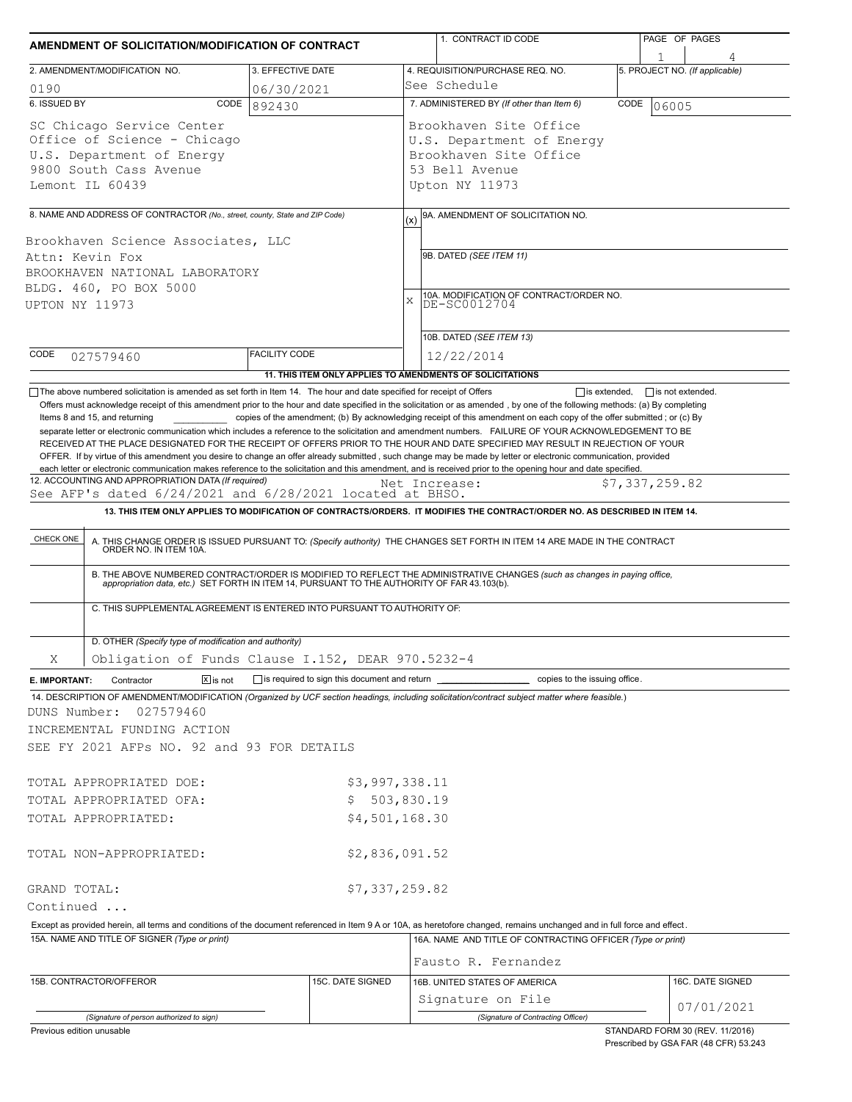| AMENDMENT OF SOLICITATION/MODIFICATION OF CONTRACT                                                                                                                                                                 |                      |                  |                                                                                                                                                                                 | 1. CONTRACT ID CODE                                                                                                                                                                                                                                                                                                                                                                                                                                                                                      |  | PAGE OF PAGES           |                                |  |  |
|--------------------------------------------------------------------------------------------------------------------------------------------------------------------------------------------------------------------|----------------------|------------------|---------------------------------------------------------------------------------------------------------------------------------------------------------------------------------|----------------------------------------------------------------------------------------------------------------------------------------------------------------------------------------------------------------------------------------------------------------------------------------------------------------------------------------------------------------------------------------------------------------------------------------------------------------------------------------------------------|--|-------------------------|--------------------------------|--|--|
|                                                                                                                                                                                                                    |                      |                  |                                                                                                                                                                                 |                                                                                                                                                                                                                                                                                                                                                                                                                                                                                                          |  |                         |                                |  |  |
| 2. AMENDMENT/MODIFICATION NO.                                                                                                                                                                                      | 3. EFFECTIVE DATE    |                  |                                                                                                                                                                                 | 4. REQUISITION/PURCHASE REQ. NO.<br>See Schedule                                                                                                                                                                                                                                                                                                                                                                                                                                                         |  |                         | 5. PROJECT NO. (If applicable) |  |  |
| 0190<br>6. ISSUED BY<br>CODE                                                                                                                                                                                       | 06/30/2021           |                  |                                                                                                                                                                                 |                                                                                                                                                                                                                                                                                                                                                                                                                                                                                                          |  |                         |                                |  |  |
| 892430<br>SC Chicago Service Center<br>Office of Science - Chicago<br>U.S. Department of Energy<br>9800 South Cass Avenue<br>Lemont IL 60439                                                                       |                      |                  | 7. ADMINISTERED BY (If other than Item 6)<br>CODE<br>06005<br>Brookhaven Site Office<br>U.S. Department of Energy<br>Brookhaven Site Office<br>53 Bell Avenue<br>Upton NY 11973 |                                                                                                                                                                                                                                                                                                                                                                                                                                                                                                          |  |                         |                                |  |  |
|                                                                                                                                                                                                                    |                      |                  |                                                                                                                                                                                 |                                                                                                                                                                                                                                                                                                                                                                                                                                                                                                          |  |                         |                                |  |  |
| 8. NAME AND ADDRESS OF CONTRACTOR (No., street, county, State and ZIP Code)<br>Brookhaven Science Associates, LLC<br>Attn: Kevin Fox<br>BROOKHAVEN NATIONAL LABORATORY<br>BLDG. 460, PO BOX 5000<br>UPTON NY 11973 |                      |                  | (x)<br>$\mathbf x$                                                                                                                                                              |                                                                                                                                                                                                                                                                                                                                                                                                                                                                                                          |  |                         |                                |  |  |
|                                                                                                                                                                                                                    |                      |                  |                                                                                                                                                                                 |                                                                                                                                                                                                                                                                                                                                                                                                                                                                                                          |  |                         |                                |  |  |
| CODE                                                                                                                                                                                                               | <b>FACILITY CODE</b> |                  |                                                                                                                                                                                 | 10B. DATED (SEE ITEM 13)                                                                                                                                                                                                                                                                                                                                                                                                                                                                                 |  |                         |                                |  |  |
| 027579460                                                                                                                                                                                                          |                      |                  | 12/22/2014                                                                                                                                                                      |                                                                                                                                                                                                                                                                                                                                                                                                                                                                                                          |  |                         |                                |  |  |
| The above numbered solicitation is amended as set forth in Item 14. The hour and date specified for receipt of Offers                                                                                              |                      |                  |                                                                                                                                                                                 | 11. THIS ITEM ONLY APPLIES TO AMENDMENTS OF SOLICITATIONS<br>$\Box$ is extended,                                                                                                                                                                                                                                                                                                                                                                                                                         |  | $\Box$ is not extended. |                                |  |  |
| CHECK ONE                                                                                                                                                                                                          |                      |                  |                                                                                                                                                                                 | 13. THIS ITEM ONLY APPLIES TO MODIFICATION OF CONTRACTS/ORDERS. IT MODIFIES THE CONTRACT/ORDER NO. AS DESCRIBED IN ITEM 14.<br>A. THIS CHANGE ORDER IS ISSUED PURSUANT TO: (Specify authority) THE CHANGES SET FORTH IN ITEM 14 ARE MADE IN THE CONTRACT ORDER NO. IN ITEM 10A.<br>B. THE ABOVE NUMBERED CONTRACT/ORDER IS MODIFIED TO REFLECT THE ADMINISTRATIVE CHANGES (such as changes in paying office, appropriation data, etc.) SET FORTH IN ITEM 14, PURSUANT TO THE AUTHORITY OF FAR 43.103(b). |  |                         |                                |  |  |
| C. THIS SUPPLEMENTAL AGREEMENT IS ENTERED INTO PURSUANT TO AUTHORITY OF:                                                                                                                                           |                      |                  |                                                                                                                                                                                 |                                                                                                                                                                                                                                                                                                                                                                                                                                                                                                          |  |                         |                                |  |  |
| D. OTHER (Specify type of modification and authority)                                                                                                                                                              |                      |                  |                                                                                                                                                                                 |                                                                                                                                                                                                                                                                                                                                                                                                                                                                                                          |  |                         |                                |  |  |
| Obligation of Funds Clause I.152, DEAR 970.5232-4<br>Χ                                                                                                                                                             |                      |                  |                                                                                                                                                                                 |                                                                                                                                                                                                                                                                                                                                                                                                                                                                                                          |  |                         |                                |  |  |
| $\sqrt{X}$ is not<br>Contractor<br>E. IMPORTANT:                                                                                                                                                                   |                      |                  |                                                                                                                                                                                 |                                                                                                                                                                                                                                                                                                                                                                                                                                                                                                          |  |                         |                                |  |  |
| 14. DESCRIPTION OF AMENDMENT/MODIFICATION (Organized by UCF section headings, including solicitation/contract subject matter where feasible.)<br>DUNS Number:<br>027579460<br>INCREMENTAL FUNDING ACTION           |                      |                  |                                                                                                                                                                                 |                                                                                                                                                                                                                                                                                                                                                                                                                                                                                                          |  |                         |                                |  |  |
| SEE FY 2021 AFPs NO. 92 and 93 FOR DETAILS                                                                                                                                                                         |                      |                  |                                                                                                                                                                                 |                                                                                                                                                                                                                                                                                                                                                                                                                                                                                                          |  |                         |                                |  |  |
| TOTAL APPROPRIATED DOE:                                                                                                                                                                                            |                      | \$3,997,338.11   |                                                                                                                                                                                 |                                                                                                                                                                                                                                                                                                                                                                                                                                                                                                          |  |                         |                                |  |  |
| TOTAL APPROPRIATED OFA:                                                                                                                                                                                            |                      | \$503,830.19     |                                                                                                                                                                                 |                                                                                                                                                                                                                                                                                                                                                                                                                                                                                                          |  |                         |                                |  |  |
| TOTAL APPROPRIATED:                                                                                                                                                                                                |                      | \$4,501,168.30   |                                                                                                                                                                                 |                                                                                                                                                                                                                                                                                                                                                                                                                                                                                                          |  |                         |                                |  |  |
| TOTAL NON-APPROPRIATED:                                                                                                                                                                                            |                      | \$2,836,091.52   |                                                                                                                                                                                 |                                                                                                                                                                                                                                                                                                                                                                                                                                                                                                          |  |                         |                                |  |  |
| GRAND TOTAL:                                                                                                                                                                                                       |                      | \$7,337,259.82   |                                                                                                                                                                                 |                                                                                                                                                                                                                                                                                                                                                                                                                                                                                                          |  |                         |                                |  |  |
| Continued                                                                                                                                                                                                          |                      |                  |                                                                                                                                                                                 |                                                                                                                                                                                                                                                                                                                                                                                                                                                                                                          |  |                         |                                |  |  |
| Except as provided herein, all terms and conditions of the document referenced in Item 9 A or 10A, as heretofore changed, remains unchanged and in full force and effect.                                          |                      |                  |                                                                                                                                                                                 |                                                                                                                                                                                                                                                                                                                                                                                                                                                                                                          |  |                         |                                |  |  |
| 15A. NAME AND TITLE OF SIGNER (Type or print)                                                                                                                                                                      |                      |                  |                                                                                                                                                                                 | 16A. NAME AND TITLE OF CONTRACTING OFFICER (Type or print)                                                                                                                                                                                                                                                                                                                                                                                                                                               |  |                         |                                |  |  |
|                                                                                                                                                                                                                    |                      |                  |                                                                                                                                                                                 | Fausto R. Fernandez                                                                                                                                                                                                                                                                                                                                                                                                                                                                                      |  |                         |                                |  |  |
| 15B. CONTRACTOR/OFFEROR                                                                                                                                                                                            |                      | 15C. DATE SIGNED |                                                                                                                                                                                 | 16B. UNITED STATES OF AMERICA                                                                                                                                                                                                                                                                                                                                                                                                                                                                            |  |                         | 16C. DATE SIGNED               |  |  |
|                                                                                                                                                                                                                    |                      |                  |                                                                                                                                                                                 | Signature on File                                                                                                                                                                                                                                                                                                                                                                                                                                                                                        |  |                         | 07/01/2021                     |  |  |
| (Signature of person authorized to sign)                                                                                                                                                                           |                      |                  |                                                                                                                                                                                 | (Signature of Contracting Officer)                                                                                                                                                                                                                                                                                                                                                                                                                                                                       |  |                         |                                |  |  |

Previous edition unusable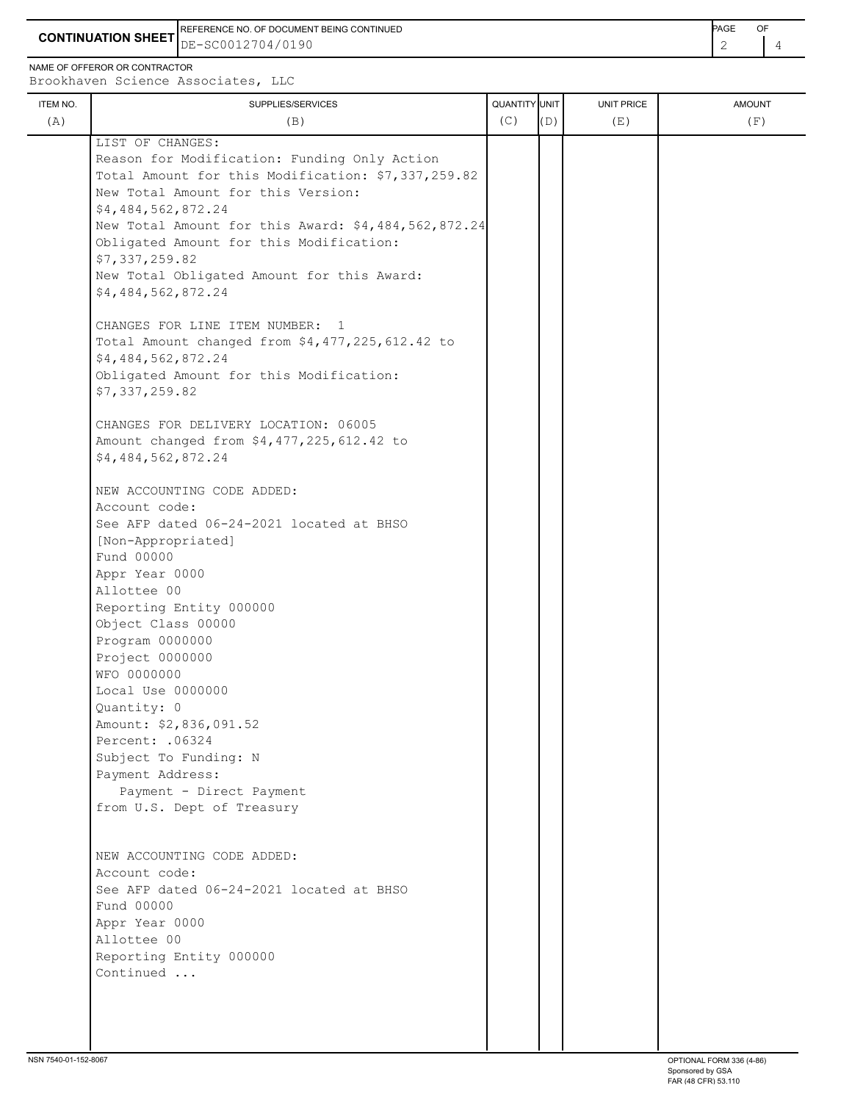**CONTINUATION SHEET** DE-SC0012704/0190 REFERENCE NO. OF DOCUMENT BEING CONTINUED **Example 20 and 20 and 20 and 20 and 20 and 20 and 20 and 20 and 20 and 20 and 20 and 20 and 20 and 20 and 20 and 20 and 20 and 20 and 20 and 20 and 20 and 20 and 20 and 20 and 20** 

NAME OF OFFEROR OR CONTRACTOR

Brookhaven Science Associates, LLC

| <b>ITEM NO.</b><br>(A) | SUPPLIES/SERVICES<br>(B)                            | QUANTITY UNIT<br>(C) | (D) | <b>UNIT PRICE</b><br>(E) | <b>AMOUNT</b><br>(F) |
|------------------------|-----------------------------------------------------|----------------------|-----|--------------------------|----------------------|
|                        | LIST OF CHANGES:                                    |                      |     |                          |                      |
|                        | Reason for Modification: Funding Only Action        |                      |     |                          |                      |
|                        | Total Amount for this Modification: \$7,337,259.82  |                      |     |                          |                      |
|                        | New Total Amount for this Version:                  |                      |     |                          |                      |
|                        | \$4,484,562,872.24                                  |                      |     |                          |                      |
|                        | New Total Amount for this Award: \$4,484,562,872.24 |                      |     |                          |                      |
|                        | Obligated Amount for this Modification:             |                      |     |                          |                      |
|                        | \$7,337,259.82                                      |                      |     |                          |                      |
|                        | New Total Obligated Amount for this Award:          |                      |     |                          |                      |
|                        | \$4,484,562,872.24                                  |                      |     |                          |                      |
|                        | CHANGES FOR LINE ITEM NUMBER: 1                     |                      |     |                          |                      |
|                        | Total Amount changed from \$4,477,225,612.42 to     |                      |     |                          |                      |
|                        | \$4,484,562,872.24                                  |                      |     |                          |                      |
|                        | Obligated Amount for this Modification:             |                      |     |                          |                      |
|                        | \$7,337,259.82                                      |                      |     |                          |                      |
|                        | CHANGES FOR DELIVERY LOCATION: 06005                |                      |     |                          |                      |
|                        | Amount changed from \$4,477,225,612.42 to           |                      |     |                          |                      |
|                        | \$4,484,562,872.24                                  |                      |     |                          |                      |
|                        | NEW ACCOUNTING CODE ADDED:                          |                      |     |                          |                      |
|                        | Account code:                                       |                      |     |                          |                      |
|                        | See AFP dated 06-24-2021 located at BHSO            |                      |     |                          |                      |
|                        | [Non-Appropriated]                                  |                      |     |                          |                      |
|                        | Fund 00000                                          |                      |     |                          |                      |
|                        | Appr Year 0000                                      |                      |     |                          |                      |
|                        | Allottee 00                                         |                      |     |                          |                      |
|                        | Reporting Entity 000000                             |                      |     |                          |                      |
|                        | Object Class 00000                                  |                      |     |                          |                      |
|                        | Program 0000000                                     |                      |     |                          |                      |
|                        | Project 0000000                                     |                      |     |                          |                      |
|                        | WFO 0000000                                         |                      |     |                          |                      |
|                        | Local Use 0000000<br>Quantity: 0                    |                      |     |                          |                      |
|                        | Amount: \$2,836,091.52                              |                      |     |                          |                      |
|                        | Percent: . 06324                                    |                      |     |                          |                      |
|                        | Subject To Funding: N                               |                      |     |                          |                      |
|                        | Payment Address:                                    |                      |     |                          |                      |
|                        | Payment - Direct Payment                            |                      |     |                          |                      |
|                        | from U.S. Dept of Treasury                          |                      |     |                          |                      |
|                        |                                                     |                      |     |                          |                      |
|                        | NEW ACCOUNTING CODE ADDED:                          |                      |     |                          |                      |
|                        | Account code:                                       |                      |     |                          |                      |
|                        | See AFP dated 06-24-2021 located at BHSO            |                      |     |                          |                      |
|                        | Fund 00000                                          |                      |     |                          |                      |
|                        | Appr Year 0000                                      |                      |     |                          |                      |
|                        | Allottee 00                                         |                      |     |                          |                      |
|                        | Reporting Entity 000000<br>Continued                |                      |     |                          |                      |
|                        |                                                     |                      |     |                          |                      |
|                        |                                                     |                      |     |                          |                      |
|                        |                                                     |                      |     |                          |                      |
|                        |                                                     |                      |     |                          |                      |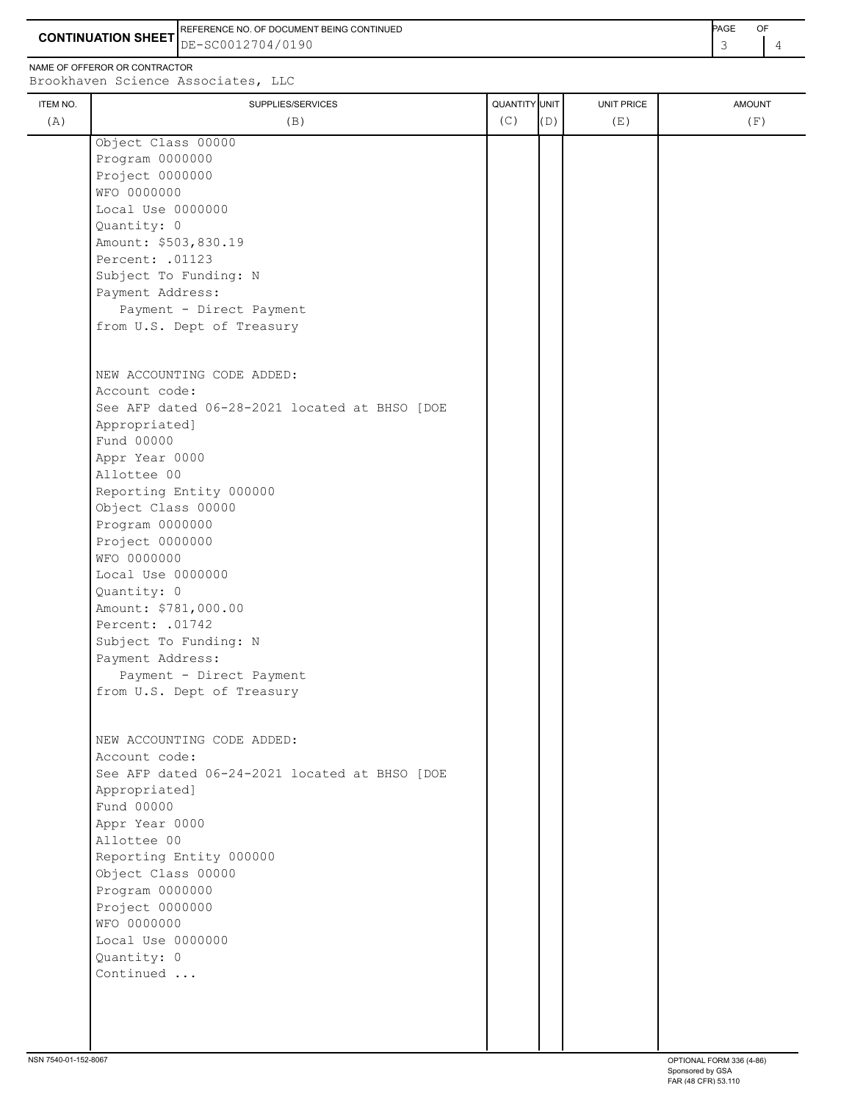**CONTINUATION SHEET** DE-SC0012704/0190 REFERENCE NO. OF DOCUMENT BEING CONTINUED **ACCULATES AND A CONTINUED PAGE OF PAGE** OF

NAME OF OFFEROR OR CONTRACTOR

Local Use 0000000

 Amount: \$503,830.19 Percent: .01123

Subject To Funding: N

Quantity: 0

ITEM NO. SAND UNIT PRICE SUPPLIES/SERVICES AMOUNT AMOUNT AMOUNT AMOUNT AMOUNT AND UNIT PRICE Brookhaven Science Associates, LLC (A)  $(B)$  (B)  $(C)$   $(D)$  (E)  $(E)$  (F) Object Class 00000 Program 0000000 Project 0000000 WFO 0000000

| Payment Address:                              |  |
|-----------------------------------------------|--|
| Payment - Direct Payment                      |  |
| from U.S. Dept of Treasury                    |  |
| NEW ACCOUNTING CODE ADDED:                    |  |
| Account code:                                 |  |
| See AFP dated 06-28-2021 located at BHSO [DOE |  |
| Appropriated]                                 |  |
| Fund 00000                                    |  |
| Appr Year 0000                                |  |
| Allottee 00                                   |  |
| Reporting Entity 000000                       |  |
| Object Class 00000                            |  |
| Program 0000000                               |  |
| Project 0000000<br>WFO 0000000                |  |
| Local Use 0000000                             |  |
| Quantity: 0                                   |  |
| Amount: \$781,000.00                          |  |
| Percent: .01742                               |  |
| Subject To Funding: N                         |  |
| Payment Address:                              |  |
| Payment - Direct Payment                      |  |
| from U.S. Dept of Treasury                    |  |
| NEW ACCOUNTING CODE ADDED:                    |  |
| Account code:                                 |  |
| See AFP dated 06-24-2021 located at BHSO [DOE |  |
| Appropriated]                                 |  |
| Fund 00000                                    |  |
| Appr Year 0000                                |  |
| Allottee 00                                   |  |
| Reporting Entity 000000                       |  |
| Object Class 00000                            |  |
| Program 0000000                               |  |
| Project 0000000                               |  |
| WFO 0000000                                   |  |
| Local Use 0000000<br>Quantity: 0              |  |
| Continued                                     |  |
|                                               |  |